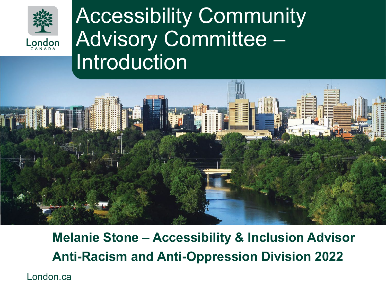

### Accessibility Community Advisory Committee – Introduction



### **Melanie Stone – Accessibility & Inclusion Advisor Anti-Racism and Anti-Oppression Division 2022**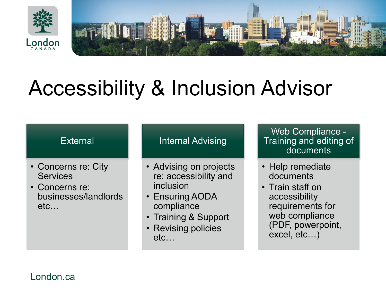



## Accessibility & Inclusion Advisor

#### **External**

- Concerns re: City **Services**
- Concerns re: businesses/landlords etc…

#### Internal Advising

- Advising on projects re: accessibility and inclusion
- Ensuring AODA compliance
- Training & Support
- Revising policies etc…

Web Compliance - Training and editing of documents

- Help remediate documents
- Train staff on accessibility requirements for web compliance (PDF, powerpoint, excel, etc…)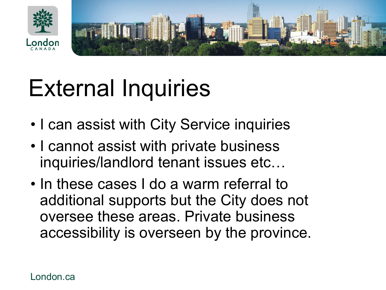



# External Inquiries

- I can assist with City Service inquiries
- I cannot assist with private business inquiries/landlord tenant issues etc…
- In these cases I do a warm referral to additional supports but the City does not oversee these areas. Private business accessibility is overseen by the province.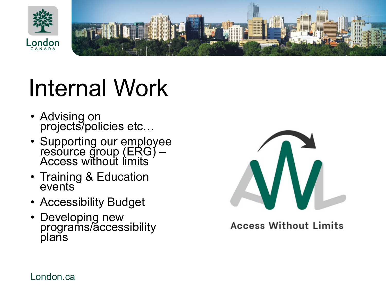



# Internal Work

- Advising on projects/policies etc…
- Supporting our employee resource group (ERG) –<br>Access without limits
- Training & Education events
- Accessibility Budget
- Developing new programs/accessibility plans



**Access Without Limits**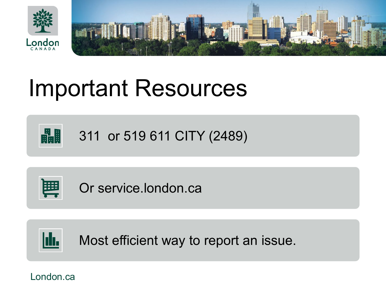



## Important Resources



311 or 519 611 CITY (2489)



Or service.london.ca



Most efficient way to report an issue.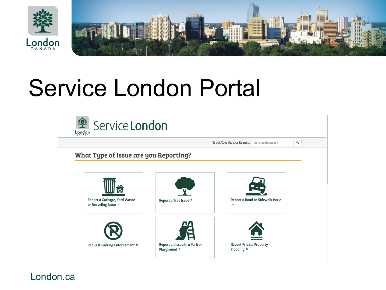

## Service London Portal

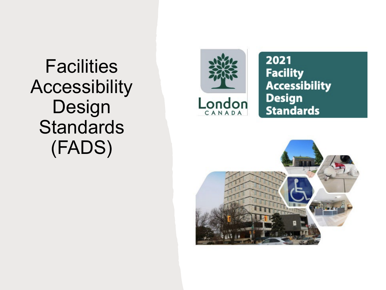**Facilities** Accessibility Design **Standards** (FADS)



2021 **Facility Accessibility Design Standards** 

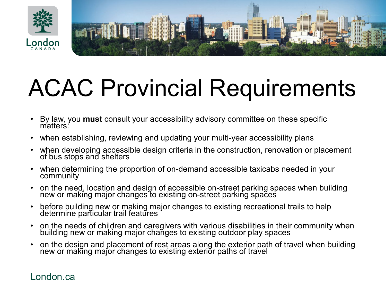

# ACAC Provincial Requirements

- By law, you **must** consult your accessibility advisory committee on these specific matters:
- when establishing, reviewing and updating your multi-year accessibility plans
- when developing accessible design criteria in the construction, renovation or placement of bus stops and shelters
- when determining the proportion of on-demand accessible taxicabs needed in your community
- on the need, location and design of accessible on-street parking spaces when building new or making major changes to existing on-street parking spaces
- before building new or making major changes to existing recreational trails to help determine particular trail features
- on the needs of children and caregivers with various disabilities in their community when building new or making major chañges to existing outdoor play spaces
- on the design and placement of rest areas along the exterior path of travel when building new or makĩng major changes to existing exteriŏr paths of travel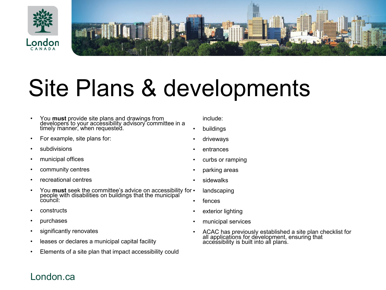

# Site Plans & developments

- You **must** provide site plans and drawings from developers to your accessibility advisory committee in a timely manner, when requested.
- For example, site plans for:
- subdivisions
- municipal offices
- community centres
- recreational centres
- You **must** seek the committee's advice on accessibility for people with disabilities on buildings that the municipal council:
- constructs
- purchases
- significantly renovates
- leases or declares a municipal capital facility
- Elements of a site plan that impact accessibility could

include:

- buildings
- driveways
- entrances
- curbs or ramping
- parking areas
- sidewalks
- landscaping
- fences
- exterior lighting
- municipal services
- ACAC has previously established a site plan checklist for all applications for development, ensuring that accessibility is built into all plans.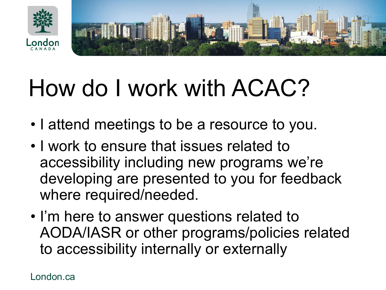

# How do I work with ACAC?

- I attend meetings to be a resource to you.
- I work to ensure that issues related to accessibility including new programs we're developing are presented to you for feedback where required/needed.
- I'm here to answer questions related to AODA/IASR or other programs/policies related to accessibility internally or externally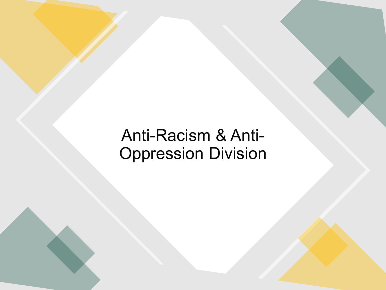### Anti-Racism & Anti-Oppression Division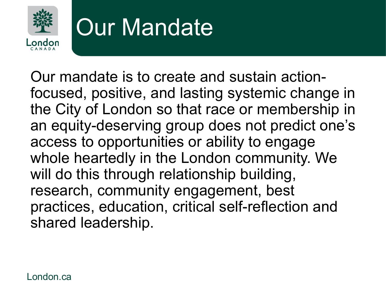

# Our Mandate

Our mandate is to create and sustain actionfocused, positive, and lasting systemic change in the City of London so that race or membership in an equity-deserving group does not predict one's access to opportunities or ability to engage whole heartedly in the London community. We will do this through relationship building, research, community engagement, best practices, education, critical self-reflection and shared leadership.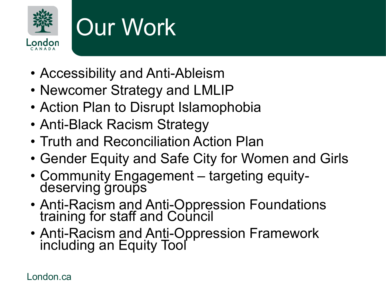

# Our Work

- Accessibility and Anti-Ableism
- Newcomer Strategy and LMLIP
- Action Plan to Disrupt Islamophobia
- Anti-Black Racism Strategy
- Truth and Reconciliation Action Plan
- Gender Equity and Safe City for Women and Girls
- Community Engagement targeting equity- deserving groups
- Anti-Racism and Anti-Oppression Foundations training for staff and Council
- Anti-Racism and Anti-Oppression Framework including an Equity Tool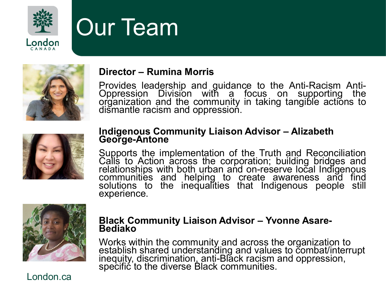

## Our Team



### **Director – Rumina Morris**

Provides leadership and guidance to the Anti-Racism Anti-<br>Oppression Division with a focus on supporting the organization and the community in taking tangible actions to dismantle racism and oppression.



#### **Indigenous Community Liaison Advisor – Alizabeth George-Antone**

Supports the implementation of the Truth and Reconciliation Calls to Action across the corporation; building bridges and relationships with both urban and on-reserve local Indigenous<br>communities and ˈhelping ˈto ˈcreate ˈawareness and ˈfind̪ solutions to the inequalities that Indigenous people still experience.



### **Black Community Liaison Advisor – Yvonne Asare- Bediako**

Works within the community and across the organization to establish shared understanding and values to combat/interrupt inequity, discrimination, anti-Blăck racism and oppression,<br>specific to the diverse Black communities.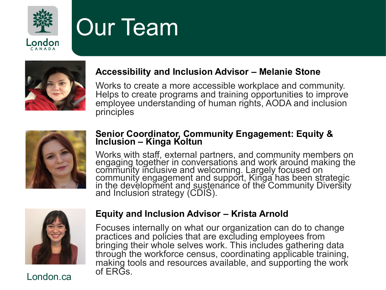

# Our Team



### **Accessibility and Inclusion Advisor – Melanie Stone**

Works to create a more accessible workplace and community. Helps to create programs and training opportunities to improve employee understanding of human rights, AODA and inclusion principles



#### **Senior Coordinator, Community Engagement: Equity & Inclusion – Kinga Koltun**

Works with staff, external partners, and community members on engaging together in conversations and work around making the community inclusive and welcoming. Largely focused on community engagement and support, Kinga has been strategic in the development and sustenance of the Community Diversity and Inclusion strategy (CDIS).



#### **Equity and Inclusion Advisor – Krista Arnold**

Focuses internally on what our organization can do to change practices and policies that are excluding employees from bringing their whole selves work. This includes gathering data through the workforce census, coordinating applicable training, making tools and resources available, and supporting the work of ERGs.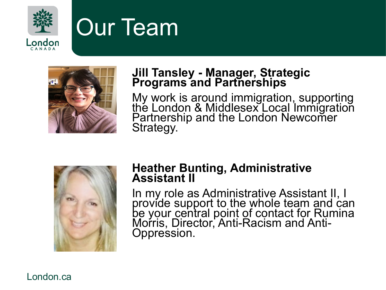

### Our Team



### **Jill Tansley - Manager, Strategic Programs and Partnerships**

My work is around immigration, supporting the London & Middlesex Local Immigration Partnership and the London Newcomer Strategy.



### **Heather Bunting, Administrative Assistant II**

In my role as Administrative Assistant II, I provide support to the whole team and can be your central point of contact for Rumina Moŕris, Director, Anti-Racism and Anti-<br>Oppression.